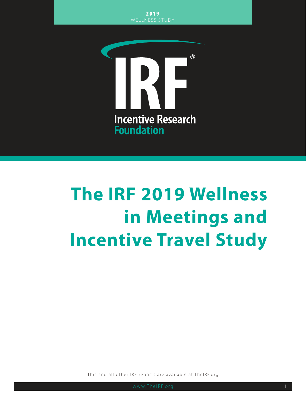

# **The IRF 2019 Wellness in Meetings and Incentive Travel Study**

This and all other IRF reports are available at TheIRF.org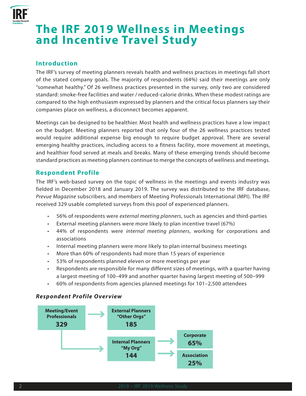

# **The IRF 2019 Wellness in Meetings and Incentive Travel Study**

# **Introduction**

The IRF's survey of meeting planners reveals health and wellness practices in meetings fall short of the stated company goals. The majority of respondents (64%) said their meetings are only "somewhat healthy." Of 26 wellness practices presented in the survey, only two are considered standard: smoke-free facilities and water / reduced-calorie drinks. When these modest ratings are compared to the high enthusiasm expressed by planners and the critical focus planners say their companies place on wellness, a disconnect becomes apparent.

Meetings can be designed to be healthier. Most health and wellness practices have a low impact on the budget. Meeting planners reported that only four of the 26 wellness practices tested would require additional expense big enough to require budget approval. There are several emerging healthy practices, including access to a fitness facility, more movement at meetings, and healthier food served at meals and breaks. Many of these emerging trends should become standard practices as meeting planners continue to merge the concepts of wellness and meetings.

### **Respondent Profile**

The IRF's web-based survey on the topic of wellness in the meetings and events industry was fielded in December 2018 and January 2019. The survey was distributed to the IRF database, *Prevue Magazine* subscribers, and members of Meeting Professionals International (MPI). The IRF received 329 usable completed surveys from this pool of experienced planners.

- 56% of respondents were *external meeting planners*, such as agencies and third-parties
- External meeting planners were more likely to plan incentive travel (67%)
- 44% of respondents were *internal meeting planners*, working for corporations and associations
- Internal meeting planners were more likely to plan internal business meetings
- More than 60% of respondents had more than 15 years of experience
- 53% of respondents planned eleven or more meetings per year
- Respondents are responsible for many different sizes of meetings, with a quarter having a largest meeting of 100–499 and another quarter having largest meeting of 500–999
- 60% of respondents from agencies planned meetings for 101–2,500 attendees

#### *Respondent Profile Overview*

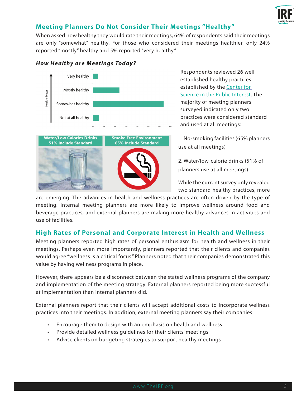

# **Meeting Planners Do Not Consider Their Meetings "Healthy"**

When asked how healthy they would rate their meetings, 64% of respondents said their meetings are only "somewhat" healthy. For those who considered their meetings healthier, only 24% reported "mostly" healthy and 5% reported "very healthy."



#### *How Healthy are Meetings Today?*

Respondents reviewed 26 wellestablished healthy practices established by the [Center for](https://cspinet.org/protecting-our-health/nutrition/healthy-meetings)  [Science in the Public Interest](https://cspinet.org/protecting-our-health/nutrition/healthy-meetings). The majority of meeting planners surveyed indicated only two practices were considered standard and used at all meetings:

1. No-smoking facilities (65% planners use at all meetings)

2. Water/low-calorie drinks (51% of planners use at all meetings)

While the current survey only revealed two standard healthy practices, more

are emerging. The advances in health and wellness practices are often driven by the type of meeting. Internal meeting planners are more likely to improve wellness around food and beverage practices, and external planners are making more healthy advances in activities and use of facilities.

# **High Rates of Personal and Corporate Interest in Health and Wellness**

Meeting planners reported high rates of personal enthusiasm for health and wellness in their meetings. Perhaps even more importantly, planners reported that their clients and companies would agree "wellness is a critical focus." Planners noted that their companies demonstrated this value by having wellness programs in place.

However, there appears be a disconnect between the stated wellness programs of the company and implementation of the meeting strategy. External planners reported being more successful at implementation than internal planners did.

External planners report that their clients will accept additional costs to incorporate wellness practices into their meetings. In addition, external meeting planners say their companies:

- Encourage them to design with an emphasis on health and wellness
- Provide detailed wellness guidelines for their clients' meetings
- Advise clients on budgeting strategies to support healthy meetings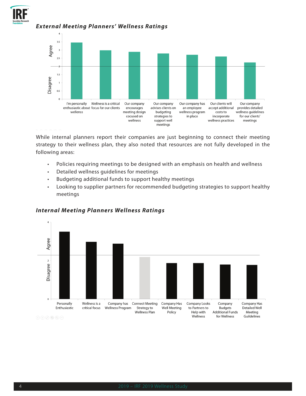

#### *External Meeting Planners' Wellness Ratings*



While internal planners report their companies are just beginning to connect their meeting strategy to their wellness plan, they also noted that resources are not fully developed in the following areas:

- Policies requiring meetings to be designed with an emphasis on health and wellness
- Detailed wellness guidelines for meetings
- Budgeting additional funds to support healthy meetings
- Looking to supplier partners for recommended budgeting strategies to support healthy meetings



#### *Internal Meeting Planners Wellness Ratings*

 $\textcircled{\footnotesize{1}}\textcircled{\footnotesize{1}}\textcircled{\footnotesize{1}}\textcircled{\footnotesize{1}}\textcircled{\footnotesize{1}}\textcircled{\footnotesize{1}}\textcircled{\footnotesize{1}}\textcircled{\footnotesize{1}}$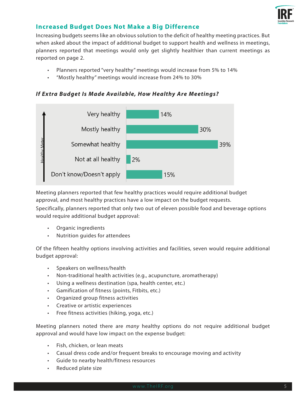

### **Increased Budget Does Not Make a Big Difference**

Increasing budgets seems like an obvious solution to the deficit of healthy meeting practices. But when asked about the impact of additional budget to support health and wellness in meetings, planners reported that meetings would only get slightly healthier than current meetings as reported on page 2.

- Planners reported "very healthy" meetings would increase from 5% to 14%
- "Mostly healthy" meetings would increase from 24% to 30%

*If Extra Budget Is Made Available, How Healthy Are Meetings?*



Meeting planners reported that few healthy practices would require additional budget approval, and most healthy practices have a low impact on the budget requests.

Specifically, planners reported that only two out of eleven possible food and beverage options would require additional budget approval:

- Organic ingredients
- Nutrition guides for attendees

Of the fifteen healthy options involving activities and facilities, seven would require additional budget approval:

- Speakers on wellness/health
- Non-traditional health activities (e.g., acupuncture, aromatherapy)
- Using a wellness destination (spa, health center, etc.)
- Gamification of fitness (points, Fitbits, etc.)
- Organized group fitness activities
- Creative or artistic experiences
- Free fitness activities (hiking, yoga, etc.)

Meeting planners noted there are *many* healthy options do not require additional budget approval and would have low impact on the expense budget:

- Fish, chicken, or lean meats
- Casual dress code and/or frequent breaks to encourage moving and activity
- Guide to nearby health/fitness resources
- Reduced plate size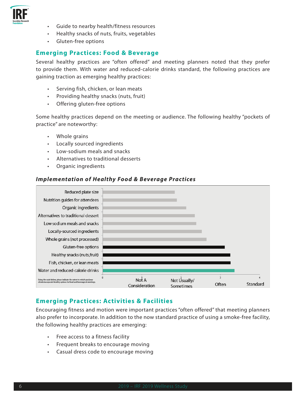

- Guide to nearby health/fitness resources
- Healthy snacks of nuts, fruits, vegetables
- Gluten-free options

#### **Emerging Practices: Food & Beverage**

Several healthy practices are "often offered" and meeting planners noted that they prefer to provide them. With water and reduced-calorie drinks standard, the following practices are gaining traction as emerging healthy practices:

- Serving fish, chicken, or lean meats
- Providing healthy snacks (nuts, fruit)
- Offering gluten-free options

Some healthy practices depend on the meeting or audience. The following healthy "pockets of practice" are noteworthy:

- Whole grains
- Locally sourced ingredients
- Low-sodium meals and snacks
- Alternatives to traditional desserts
- Organic ingredients

#### *Implementation of Healthy Food & Beverage Practices*



#### **Emerging Practices: Activities & Facilities**

Encouraging fitness and motion were important practices "often offered" that meeting planners also prefer to incorporate. In addition to the now standard practice of using a smoke-free facility, the following healthy practices are emerging:

- Free access to a fitness facility
- Frequent breaks to encourage moving
- Casual dress code to encourage moving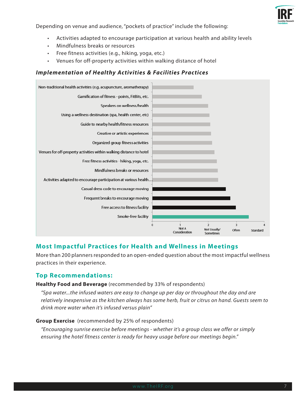

Depending on venue and audience, "pockets of practice" include the following:

- Activities adapted to encourage participation at various health and ability levels
- Mindfulness breaks or resources
- Free fitness activities (e.g., hiking, yoga, etc.)
- Venues for off-property activities within walking distance of hotel

#### *Implementation of Healthy Activities & Facilities Practices*



#### **Most Impactful Practices for Health and Wellness in Meetings**

More than 200 planners responded to an open-ended question about the most impactful wellness practices in their experience.

#### **Top Recommendations:**

#### **Healthy Food and Beverage** (recommended by 33% of respondents)

*"Spa water...the infused waters are easy to change up per day or throughout the day and are relatively inexpensive as the kitchen always has some herb, fruit or citrus on hand. Guests seem to drink more water when it's infused versus plain"*

#### **Group Exercise** (recommended by 25% of respondents)

*"Encouraging sunrise exercise before meetings - whether it's a group class we offer or simply ensuring the hotel fitness center is ready for heavy usage before our meetings begin."*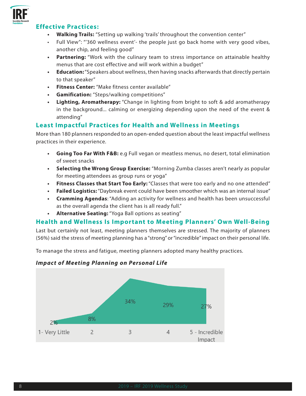

#### **Effective Practices:**

- **• Walking Trails:** "Setting up walking 'trails' throughout the convention center"
- Full View": "'360 wellness event'- the people just go back home with very good vibes, another chip, and feeling good"
- **• Partnering:** "Work with the culinary team to stress importance on attainable healthy menus that are cost effective and will work within a budget"
- **• Education:** "Speakers about wellness, then having snacks afterwards that directly pertain to that speaker"
- **• Fitness Center:** "Make fitness center available"
- **• Gamification:** "Steps/walking competitions"
- **• Lighting, Aromatherapy:** "Change in lighting from bright to soft & add aromatherapy in the background... calming or energizing depending upon the need of the event & attending"

### **Least Impactful Practices for Health and Wellness in Meetings**

More than 180 planners responded to an open-ended question about the least impactful wellness practices in their experience.

- **• Going Too Far With F&B:** e.g Full vegan or meatless menus, no desert, total elimination of sweet snacks
- **• Selecting the Wrong Group Exercise:** "Morning Zumba classes aren't nearly as popular for meeting attendees as group runs or yoga"
- **• Fitness Classes that Start Too Early:** "Classes that were too early and no one attended"
- **• Failed Logistics:** "Daybreak event could have been smoother which was an internal issue"
- **• Cramming Agendas**: "Adding an activity for wellness and health has been unsuccessful as the overall agenda the client has is all ready full."
- **• Alternative Seating:** "Yoga Ball options as seating"

#### **Health and Wellness Is Important to Meeting Planners' Own Well-Being**

Last but certainly not least, meeting planners themselves are stressed. The majority of planners (56%) said the stress of meeting planning has a "strong" or "incredible" impact on their personal life.

To manage the stress and fatigue, meeting planners adopted many healthy practices.



#### *Impact of Meeting Planning on Personal Life*